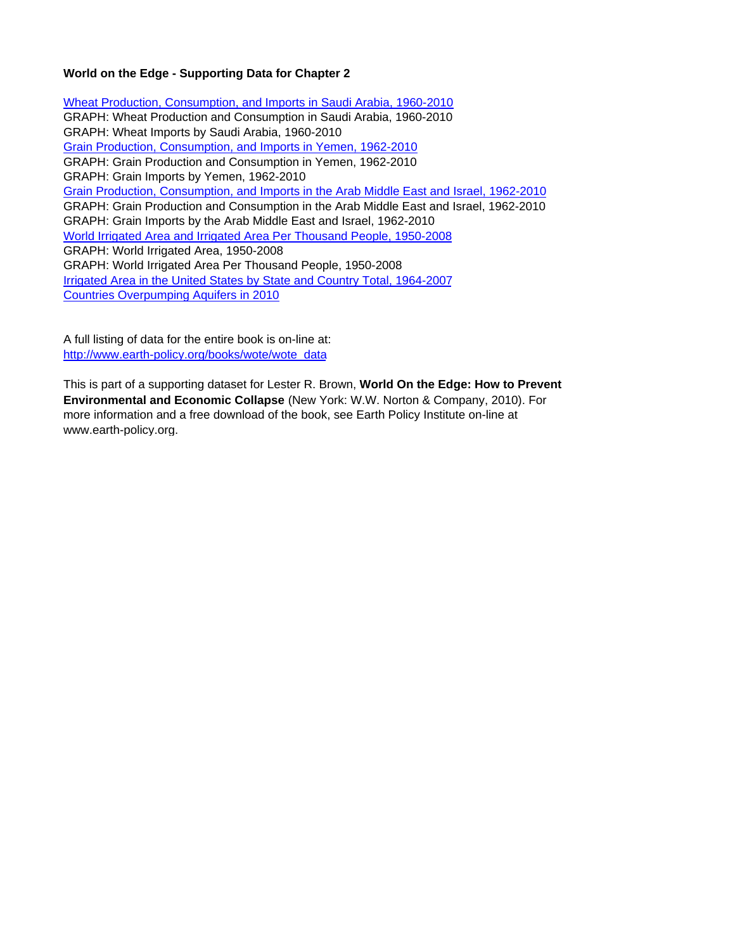# **World on the Edge - Supporting Data for Chapter 2**

Wheat Production, Consumption, and Imports in Saudi Arabia, 1960-2010 GRAPH: Wheat Production and Consumption in Saudi Arabia, 1960-2010 GRAPH: Wheat Imports by Saudi Arabia, 1960-2010 Grain Production, Consumption, and Imports in Yemen, 1962-2010 GRAPH: Grain Production and Consumption in Yemen, 1962-2010 GRAPH: Grain Imports by Yemen, 1962-2010 Grain Production, Consumption, and Imports in the Arab Middle East and Israel, 1962-2010 GRAPH: Grain Production and Consumption in the Arab Middle East and Israel, 1962-2010 GRAPH: Grain Imports by the Arab Middle East and Israel, 1962-2010 World Irrigated Area and Irrigated Area Per Thousand People, 1950-2008 GRAPH: World Irrigated Area, 1950-2008 GRAPH: World Irrigated Area Per Thousand People, 1950-2008 Irrigated Area in the United States by State and Country Total, 1964-2007 Countries Overpumping Aquifers in 2010

A full listing of data for the entire book is on-line at: http://www.earth-policy.org/books/wote/wote\_data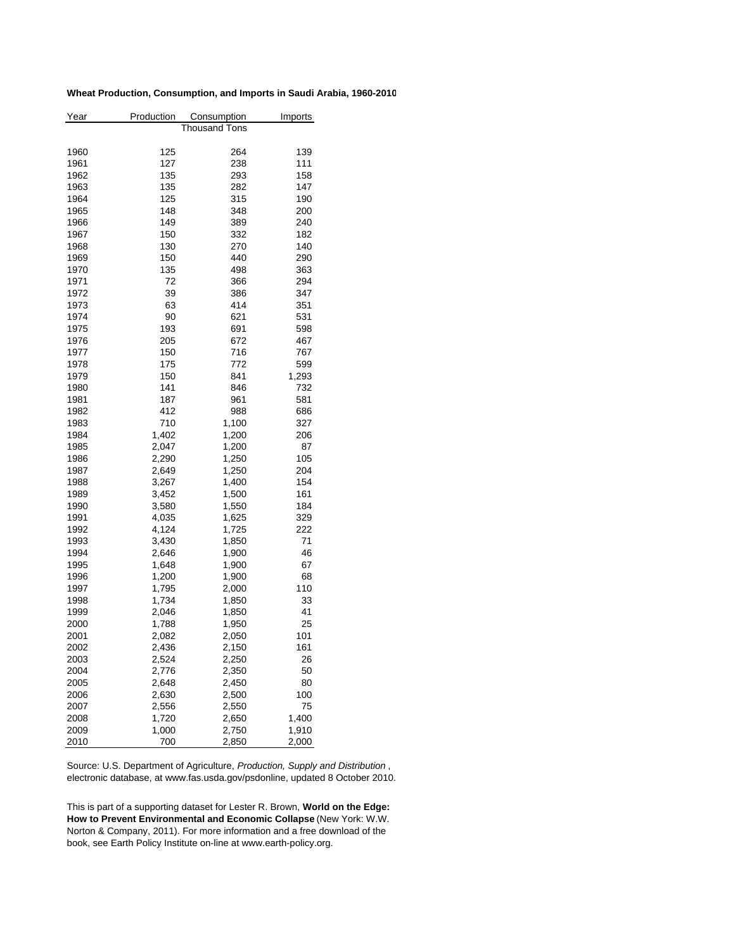## **Wheat Production, Consumption, and Imports in Saudi Arabia, 1960-2010**

| Year | Production    | Consumption | Imports |  |  |  |  |
|------|---------------|-------------|---------|--|--|--|--|
|      | Thousand Tons |             |         |  |  |  |  |
|      |               |             |         |  |  |  |  |
| 1960 | 125           | 264         | 139     |  |  |  |  |
| 1961 | 127           | 238         | 111     |  |  |  |  |
| 1962 | 135           | 293         | 158     |  |  |  |  |
| 1963 | 135           | 282         | 147     |  |  |  |  |
| 1964 | 125           | 315         | 190     |  |  |  |  |
| 1965 | 148           | 348         | 200     |  |  |  |  |
| 1966 | 149           | 389         | 240     |  |  |  |  |
| 1967 | 150           | 332         | 182     |  |  |  |  |
| 1968 | 130           | 270         | 140     |  |  |  |  |
| 1969 | 150           | 440         | 290     |  |  |  |  |
| 1970 | 135           | 498         | 363     |  |  |  |  |
| 1971 | 72            | 366         | 294     |  |  |  |  |
| 1972 | 39            | 386         | 347     |  |  |  |  |
| 1973 | 63            | 414         | 351     |  |  |  |  |
| 1974 | 90            | 621         | 531     |  |  |  |  |
| 1975 | 193           | 691         | 598     |  |  |  |  |
| 1976 | 205           | 672         | 467     |  |  |  |  |
| 1977 | 150           | 716         | 767     |  |  |  |  |
| 1978 | 175           | 772         | 599     |  |  |  |  |
| 1979 | 150           | 841         | 1,293   |  |  |  |  |
| 1980 | 141           | 846         | 732     |  |  |  |  |
| 1981 | 187           | 961         | 581     |  |  |  |  |
| 1982 | 412           | 988         | 686     |  |  |  |  |
| 1983 | 710           | 1,100       | 327     |  |  |  |  |
| 1984 | 1,402         | 1,200       | 206     |  |  |  |  |
| 1985 | 2,047         | 1,200       | 87      |  |  |  |  |
| 1986 | 2,290         | 1,250       | 105     |  |  |  |  |
| 1987 | 2,649         | 1,250       | 204     |  |  |  |  |
| 1988 | 3,267         | 1,400       | 154     |  |  |  |  |
| 1989 | 3,452         | 1,500       | 161     |  |  |  |  |
| 1990 | 3,580         | 1,550       | 184     |  |  |  |  |
|      | 4,035         |             | 329     |  |  |  |  |
| 1991 | 4,124         | 1,625       | 222     |  |  |  |  |
| 1992 |               | 1,725       | 71      |  |  |  |  |
| 1993 | 3,430         | 1,850       |         |  |  |  |  |
| 1994 | 2,646         | 1,900       | 46      |  |  |  |  |
| 1995 | 1,648         | 1,900       | 67      |  |  |  |  |
| 1996 | 1,200         | 1,900       | 68      |  |  |  |  |
| 1997 | 1,795         | 2,000       | 110     |  |  |  |  |
| 1998 | 1,734         | 1,850       | 33      |  |  |  |  |
| 1999 | 2,046         | 1,850       | 41      |  |  |  |  |
| 2000 | 1,788         | 1,950       | 25      |  |  |  |  |
| 2001 | 2,082         | 2,050       | 101     |  |  |  |  |
| 2002 | 2,436         | 2,150       | 161     |  |  |  |  |
| 2003 | 2,524         | 2,250       | 26      |  |  |  |  |
| 2004 | 2,776         | 2,350       | 50      |  |  |  |  |
| 2005 | 2,648         | 2,450       | 80      |  |  |  |  |
| 2006 | 2,630         | 2,500       | 100     |  |  |  |  |
| 2007 | 2,556         | 2,550       | 75      |  |  |  |  |
| 2008 | 1,720         | 2,650       | 1,400   |  |  |  |  |
| 2009 | 1,000         | 2,750       | 1,910   |  |  |  |  |
| 2010 | 700           | 2,850       | 2,000   |  |  |  |  |

Source: U.S. Department of Agriculture, *Production, Supply and Distribution* , electronic database, at www.fas.usda.gov/psdonline, updated 8 October 2010.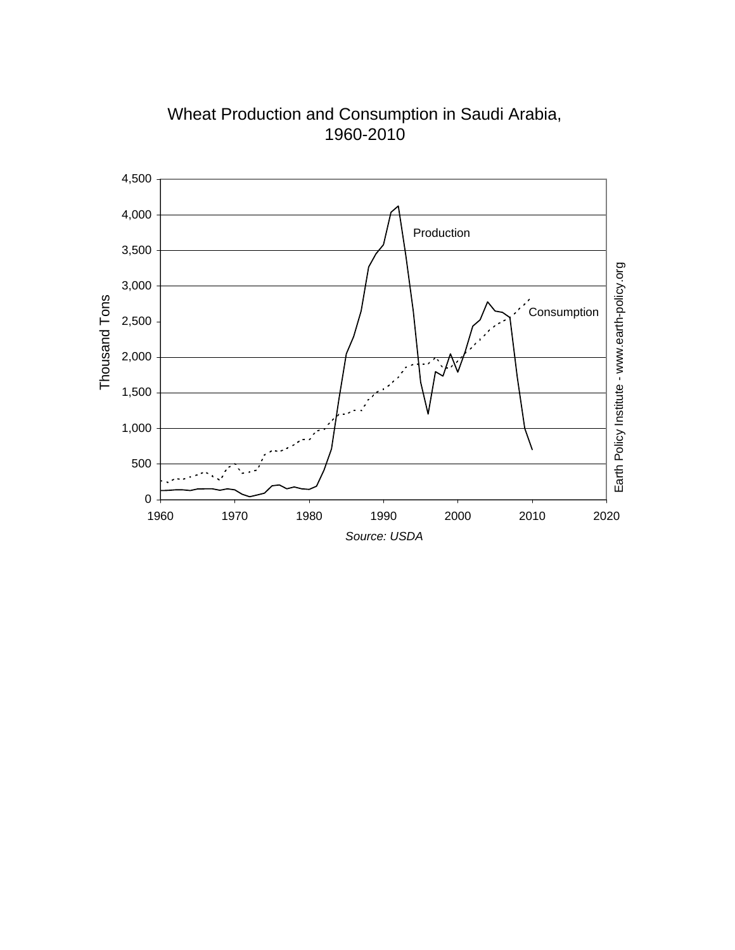

Wheat Production and Consumption in Saudi Arabia, 1960-2010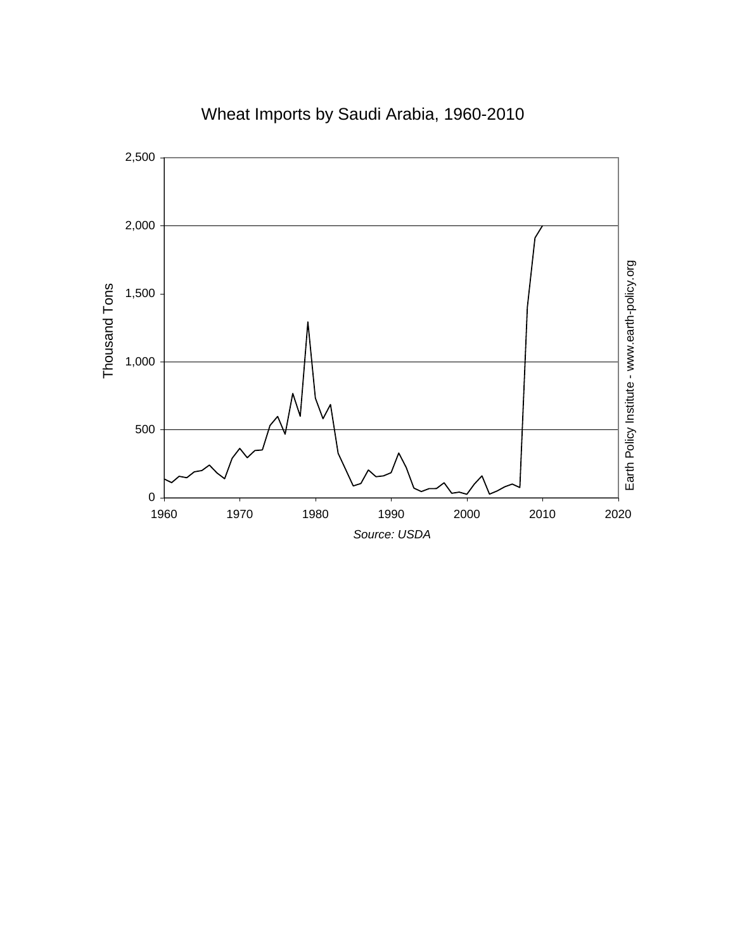

# Wheat Imports by Saudi Arabia, 1960-2010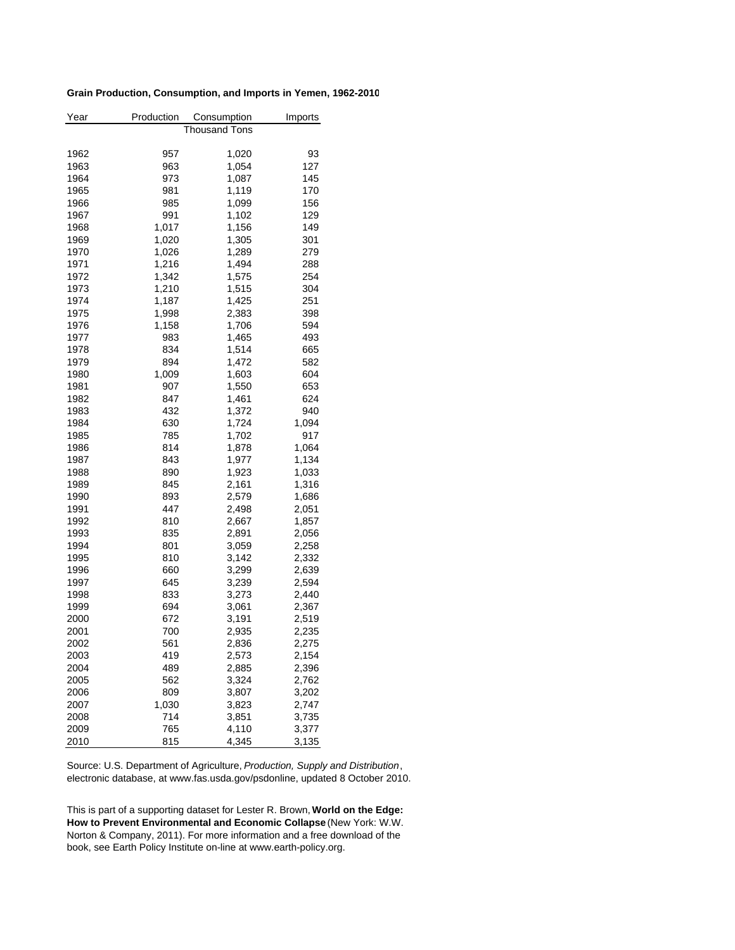### **Grain Production, Consumption, and Imports in Yemen, 1962-2010**

| Year | Production               | Consumption |       |  |  |  |  |
|------|--------------------------|-------------|-------|--|--|--|--|
|      | Imports<br>Thousand Tons |             |       |  |  |  |  |
|      |                          |             |       |  |  |  |  |
| 1962 | 957                      | 1,020       | 93    |  |  |  |  |
| 1963 | 963                      | 1,054       | 127   |  |  |  |  |
| 1964 | 973                      | 1,087       | 145   |  |  |  |  |
| 1965 | 981                      | 1,119       | 170   |  |  |  |  |
| 1966 | 985                      | 1,099       | 156   |  |  |  |  |
| 1967 | 991                      | 1,102       | 129   |  |  |  |  |
| 1968 | 1,017                    | 1,156       | 149   |  |  |  |  |
| 1969 | 1,020                    | 1,305       | 301   |  |  |  |  |
| 1970 | 1,026                    | 1,289       | 279   |  |  |  |  |
| 1971 | 1,216                    | 1,494       | 288   |  |  |  |  |
| 1972 | 1,342                    | 1,575       | 254   |  |  |  |  |
| 1973 | 1,210                    | 1,515       | 304   |  |  |  |  |
| 1974 | 1,187                    | 1,425       | 251   |  |  |  |  |
| 1975 | 1,998                    | 2,383       | 398   |  |  |  |  |
| 1976 | 1,158                    | 1,706       | 594   |  |  |  |  |
| 1977 | 983                      | 1,465       | 493   |  |  |  |  |
| 1978 | 834                      | 1,514       | 665   |  |  |  |  |
| 1979 | 894                      | 1,472       | 582   |  |  |  |  |
| 1980 | 1,009                    | 1,603       | 604   |  |  |  |  |
| 1981 | 907                      | 1,550       | 653   |  |  |  |  |
| 1982 | 847                      | 1,461       | 624   |  |  |  |  |
| 1983 | 432                      | 1,372       | 940   |  |  |  |  |
| 1984 | 630                      | 1,724       | 1,094 |  |  |  |  |
| 1985 | 785                      | 1,702       | 917   |  |  |  |  |
| 1986 | 814                      | 1,878       | 1,064 |  |  |  |  |
| 1987 | 843                      | 1,977       | 1,134 |  |  |  |  |
| 1988 | 890                      | 1,923       | 1,033 |  |  |  |  |
| 1989 | 845                      | 2,161       | 1,316 |  |  |  |  |
| 1990 | 893                      | 2,579       | 1,686 |  |  |  |  |
| 1991 | 447                      | 2,498       | 2,051 |  |  |  |  |
| 1992 | 810                      | 2,667       | 1,857 |  |  |  |  |
| 1993 | 835                      | 2,891       | 2,056 |  |  |  |  |
| 1994 | 801                      | 3,059       | 2,258 |  |  |  |  |
| 1995 | 810                      | 3,142       | 2,332 |  |  |  |  |
| 1996 | 660                      | 3,299       | 2,639 |  |  |  |  |
| 1997 | 645                      | 3,239       | 2,594 |  |  |  |  |
| 1998 | 833                      | 3,273       | 2,440 |  |  |  |  |
| 1999 | 694                      | 3,061       | 2,367 |  |  |  |  |
| 2000 | 672                      | 3,191       | 2,519 |  |  |  |  |
| 2001 | 700                      | 2,935       | 2,235 |  |  |  |  |
| 2002 | 561                      | 2,836       | 2,275 |  |  |  |  |
| 2003 | 419                      | 2,573       | 2,154 |  |  |  |  |
| 2004 | 489                      | 2,885       | 2,396 |  |  |  |  |
|      |                          |             |       |  |  |  |  |
| 2005 | 562<br>809               | 3,324       | 2,762 |  |  |  |  |
| 2006 |                          | 3,807       | 3,202 |  |  |  |  |
| 2007 | 1,030                    | 3,823       | 2,747 |  |  |  |  |
| 2008 | 714                      | 3,851       | 3,735 |  |  |  |  |
| 2009 | 765                      | 4,110       | 3,377 |  |  |  |  |
| 2010 | 815                      | 4,345       | 3,135 |  |  |  |  |

Source: U.S. Department of Agriculture, *Production, Supply and Distribution*, electronic database, at www.fas.usda.gov/psdonline, updated 8 October 2010.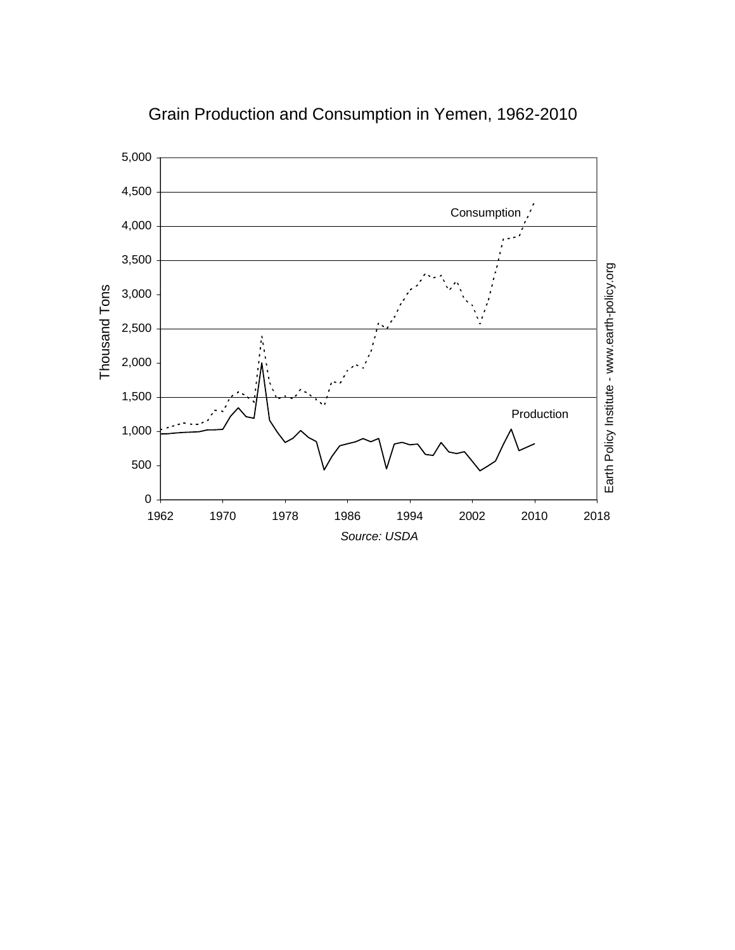

Grain Production and Consumption in Yemen, 1962-2010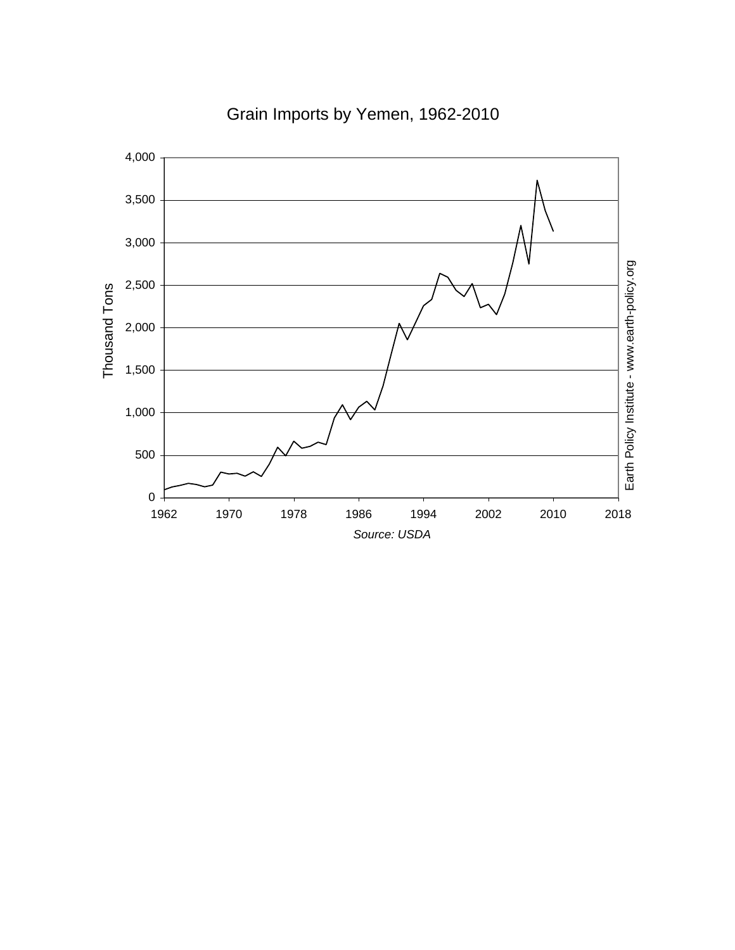

Grain Imports by Yemen, 1962-2010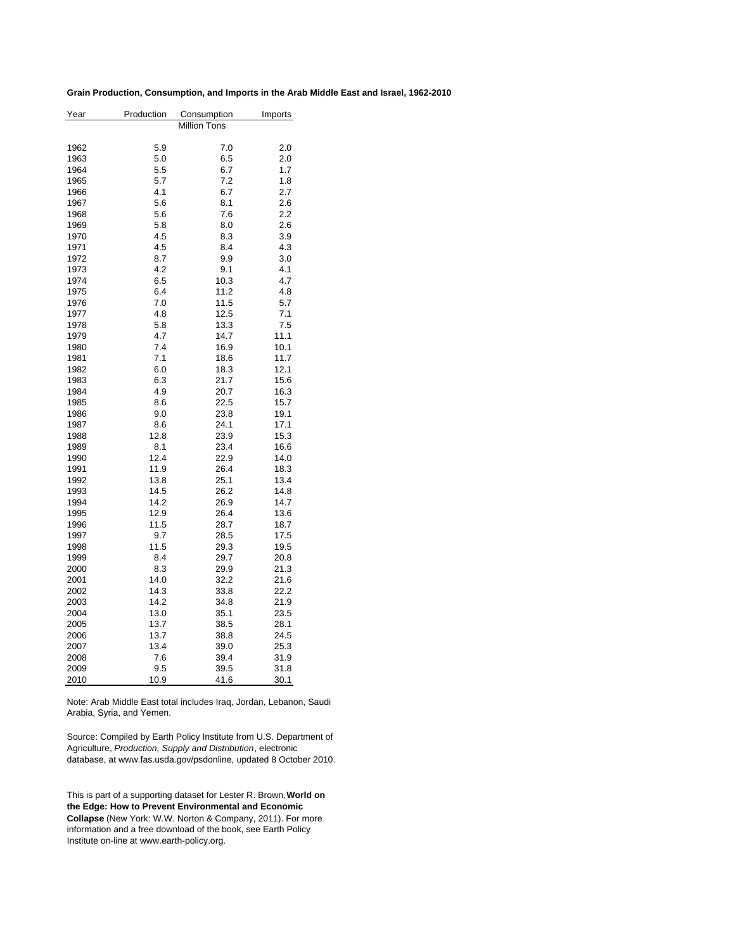#### **Grain Production, Consumption, and Imports in the Arab Middle East and Israel, 1962-2010**

| Year | Production          | Consumption | Imports |  |  |  |  |  |
|------|---------------------|-------------|---------|--|--|--|--|--|
|      | <b>Million Tons</b> |             |         |  |  |  |  |  |
| 1962 | 5.9                 | 7.0         | 2.0     |  |  |  |  |  |
| 1963 | 5.0                 | 6.5         | 2.0     |  |  |  |  |  |
| 1964 | 5.5                 | 6.7         | 1.7     |  |  |  |  |  |
| 1965 | 5.7                 | 7.2         | 1.8     |  |  |  |  |  |
| 1966 | 4.1                 | 6.7         | 2.7     |  |  |  |  |  |
| 1967 | 5.6                 | 8.1         | 2.6     |  |  |  |  |  |
| 1968 | 5.6                 | 7.6         | 2.2     |  |  |  |  |  |
| 1969 | 5.8                 | 8.0         | 2.6     |  |  |  |  |  |
| 1970 | 4.5                 | 8.3         | 3.9     |  |  |  |  |  |
| 1971 | 4.5                 | 8.4         | 4.3     |  |  |  |  |  |
| 1972 | 8.7                 | 9.9         | 3.0     |  |  |  |  |  |
| 1973 | 4.2                 | 9.1         | 4.1     |  |  |  |  |  |
| 1974 | 6.5                 | 10.3        | 4.7     |  |  |  |  |  |
| 1975 | 6.4                 | 11.2        | 4.8     |  |  |  |  |  |
| 1976 | 7.0                 | 11.5        | 5.7     |  |  |  |  |  |
| 1977 | 4.8                 | 12.5        | 7.1     |  |  |  |  |  |
| 1978 | 5.8                 | 13.3        | 7.5     |  |  |  |  |  |
| 1979 | 4.7                 | 14.7        | 11.1    |  |  |  |  |  |
| 1980 | 7.4                 | 16.9        | 10.1    |  |  |  |  |  |
| 1981 | 7.1                 | 18.6        | 11.7    |  |  |  |  |  |
| 1982 | 6.0                 | 18.3        | 12.1    |  |  |  |  |  |
| 1983 | 6.3                 | 21.7        | 15.6    |  |  |  |  |  |
| 1984 | 4.9                 | 20.7        | 16.3    |  |  |  |  |  |
| 1985 | 8.6                 | 22.5        | 15.7    |  |  |  |  |  |
| 1986 | 9.0                 | 23.8        | 19.1    |  |  |  |  |  |
| 1987 | 8.6                 | 24.1        | 17.1    |  |  |  |  |  |
| 1988 | 12.8                | 23.9        | 15.3    |  |  |  |  |  |
| 1989 | 8.1                 | 23.4        | 16.6    |  |  |  |  |  |
| 1990 | 12.4                | 22.9        | 14.0    |  |  |  |  |  |
| 1991 | 11.9                | 26.4        | 18.3    |  |  |  |  |  |
| 1992 | 13.8                | 25.1        | 13.4    |  |  |  |  |  |
| 1993 | 14.5                | 26.2        | 14.8    |  |  |  |  |  |
| 1994 | 14.2                | 26.9        | 14.7    |  |  |  |  |  |
| 1995 | 12.9                | 26.4        | 13.6    |  |  |  |  |  |
| 1996 | 11.5                | 28.7        | 18.7    |  |  |  |  |  |
| 1997 | 9.7                 | 28.5        | 17.5    |  |  |  |  |  |
| 1998 | 11.5                | 29.3        | 19.5    |  |  |  |  |  |
| 1999 | 8.4                 | 29.7        | 20.8    |  |  |  |  |  |
| 2000 | 8.3                 | 29.9        | 21.3    |  |  |  |  |  |
| 2001 | 14.0                | 32.2        | 21.6    |  |  |  |  |  |
| 2002 | 14.3                | 33.8        | 22.2    |  |  |  |  |  |
| 2003 | 14.2                | 34.8        | 21.9    |  |  |  |  |  |
| 2004 | 13.0                | 35.1        | 23.5    |  |  |  |  |  |
| 2005 | 13.7                | 38.5        | 28.1    |  |  |  |  |  |
| 2006 | 13.7                | 38.8        | 24.5    |  |  |  |  |  |
| 2007 | 13.4                | 39.0        | 25.3    |  |  |  |  |  |
| 2008 | 7.6                 | 39.4        | 31.9    |  |  |  |  |  |
| 2009 | 9.5                 | 39.5        | 31.8    |  |  |  |  |  |
| 2010 | 10.9                | 41.6        | 30.1    |  |  |  |  |  |

Note: Arab Middle East total includes Iraq, Jordan, Lebanon, Saudi Arabia, Syria, and Yemen.

Source: Compiled by Earth Policy Institute from U.S. Department of Agriculture, *Production, Supply and Distribution*, electronic database, at www.fas.usda.gov/psdonline, updated 8 October 2010.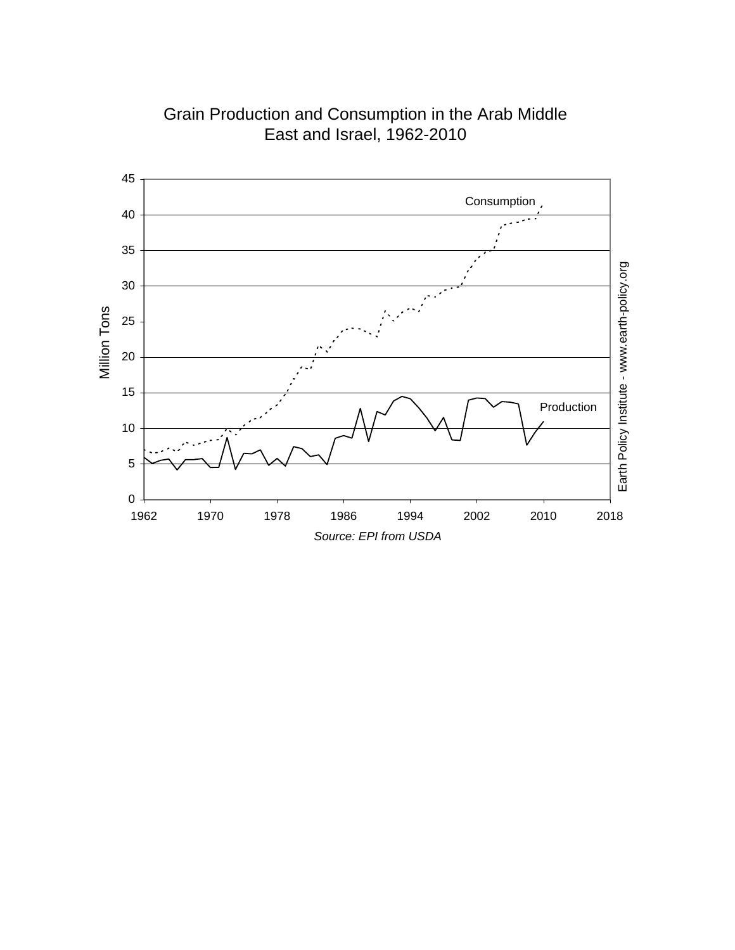

Grain Production and Consumption in the Arab Middle East and Israel, 1962-2010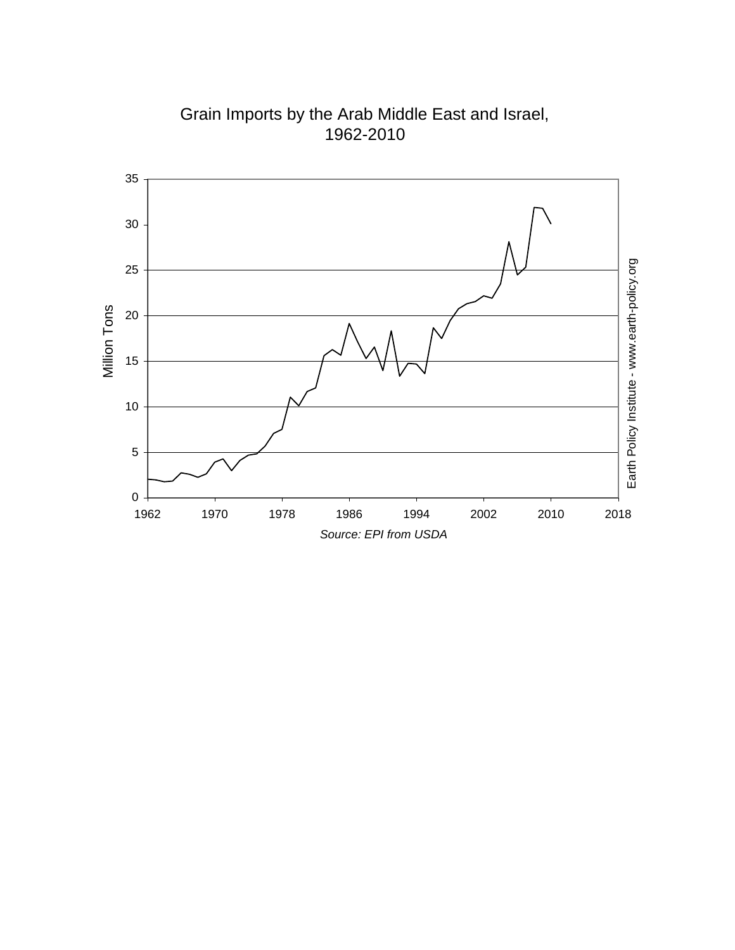

Grain Imports by the Arab Middle East and Israel, 1962-2010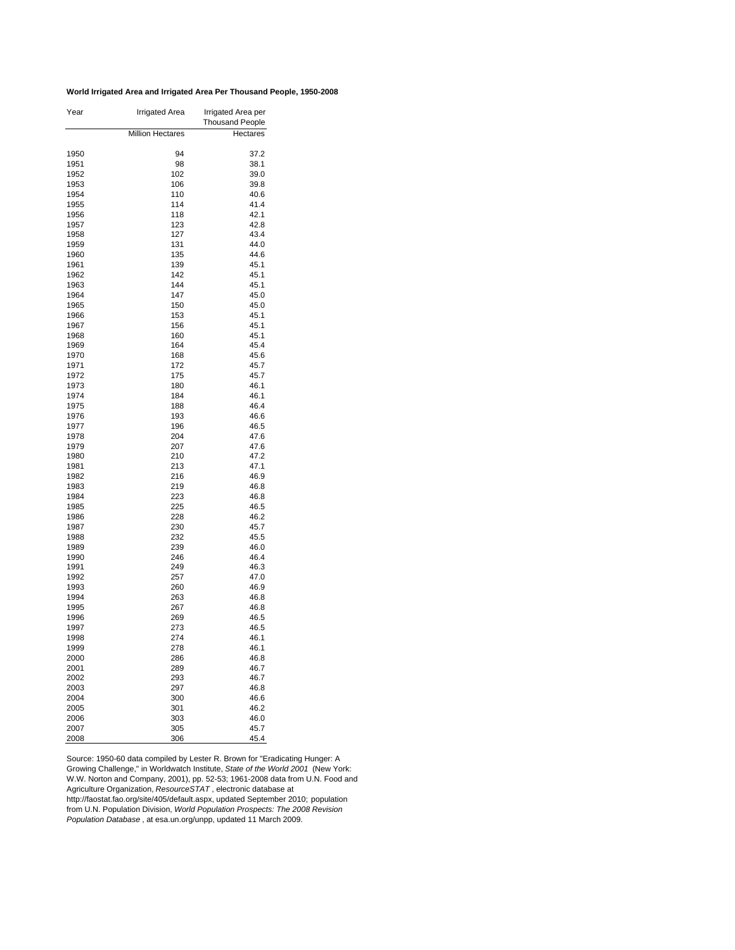#### **World Irrigated Area and Irrigated Area Per Thousand People, 1950-2008**

| <b>Million Hectares</b><br>Hectares<br>1950<br>94<br>37.2<br>1951<br>98<br>38.1<br>102<br>1952<br>39.0<br>1953<br>106<br>39.8<br>110<br>1954<br>40.6<br>114<br>41.4<br>1955<br>118<br>42.1<br>1956<br>123<br>42.8<br>1957<br>1958<br>127<br>43.4<br>131<br>44.0<br>1959<br>135<br>44.6<br>1960<br>139<br>1961<br>45.1<br>142<br>45.1<br>1962<br>1963<br>144<br>45.1<br>1964<br>147<br>45.0<br>1965<br>150<br>45.0<br>45.1<br>1966<br>153<br>156<br>45.1<br>1967<br>1968<br>160<br>45.1<br>45.4<br>1969<br>164<br>45.6<br>1970<br>168<br>1971<br>172<br>45.7<br>175<br>45.7<br>1972<br>1973<br>180<br>46.1<br>1974<br>184<br>46.1<br>46.4<br>1975<br>188<br>1976<br>193<br>46.6<br>196<br>1977<br>46.5<br>1978<br>204<br>47.6<br>1979<br>207<br>47.6<br>1980<br>210<br>47.2<br>47.1<br>1981<br>213<br>216<br>46.9<br>1982<br>1983<br>219<br>46.8<br>1984<br>223<br>46.8<br>1985<br>225<br>46.5<br>46.2<br>1986<br>228<br>1987<br>230<br>45.7<br>1988<br>232<br>45.5<br>1989<br>239<br>46.0<br>1990<br>246<br>46.4<br>1991<br>249<br>46.3<br>1992<br>257<br>47.0<br>1993<br>260<br>46.9<br>1994<br>263<br>46.8<br>1995<br>267<br>46.8<br>1996<br>269<br>46.5<br>1997<br>273<br>46.5<br>1998<br>274<br>46.1<br>46.1<br>1999<br>278<br>2000<br>286<br>46.8<br>2001<br>289<br>46.7<br>2002<br>293<br>46.7<br>2003<br>297<br>46.8<br>2004<br>300<br>46.6<br>301<br>46.2<br>2005<br>46.0<br>2006<br>303<br>2007<br>305<br>45.7 | Year | Irrigated Area | Irrigated Area per<br><b>Thousand People</b> |  |  |
|-------------------------------------------------------------------------------------------------------------------------------------------------------------------------------------------------------------------------------------------------------------------------------------------------------------------------------------------------------------------------------------------------------------------------------------------------------------------------------------------------------------------------------------------------------------------------------------------------------------------------------------------------------------------------------------------------------------------------------------------------------------------------------------------------------------------------------------------------------------------------------------------------------------------------------------------------------------------------------------------------------------------------------------------------------------------------------------------------------------------------------------------------------------------------------------------------------------------------------------------------------------------------------------------------------------------------------------------------------------------------------------------------------------------------|------|----------------|----------------------------------------------|--|--|
|                                                                                                                                                                                                                                                                                                                                                                                                                                                                                                                                                                                                                                                                                                                                                                                                                                                                                                                                                                                                                                                                                                                                                                                                                                                                                                                                                                                                                         |      |                |                                              |  |  |
|                                                                                                                                                                                                                                                                                                                                                                                                                                                                                                                                                                                                                                                                                                                                                                                                                                                                                                                                                                                                                                                                                                                                                                                                                                                                                                                                                                                                                         |      |                |                                              |  |  |
|                                                                                                                                                                                                                                                                                                                                                                                                                                                                                                                                                                                                                                                                                                                                                                                                                                                                                                                                                                                                                                                                                                                                                                                                                                                                                                                                                                                                                         |      |                |                                              |  |  |
|                                                                                                                                                                                                                                                                                                                                                                                                                                                                                                                                                                                                                                                                                                                                                                                                                                                                                                                                                                                                                                                                                                                                                                                                                                                                                                                                                                                                                         |      |                |                                              |  |  |
|                                                                                                                                                                                                                                                                                                                                                                                                                                                                                                                                                                                                                                                                                                                                                                                                                                                                                                                                                                                                                                                                                                                                                                                                                                                                                                                                                                                                                         |      |                |                                              |  |  |
|                                                                                                                                                                                                                                                                                                                                                                                                                                                                                                                                                                                                                                                                                                                                                                                                                                                                                                                                                                                                                                                                                                                                                                                                                                                                                                                                                                                                                         |      |                |                                              |  |  |
|                                                                                                                                                                                                                                                                                                                                                                                                                                                                                                                                                                                                                                                                                                                                                                                                                                                                                                                                                                                                                                                                                                                                                                                                                                                                                                                                                                                                                         |      |                |                                              |  |  |
|                                                                                                                                                                                                                                                                                                                                                                                                                                                                                                                                                                                                                                                                                                                                                                                                                                                                                                                                                                                                                                                                                                                                                                                                                                                                                                                                                                                                                         |      |                |                                              |  |  |
|                                                                                                                                                                                                                                                                                                                                                                                                                                                                                                                                                                                                                                                                                                                                                                                                                                                                                                                                                                                                                                                                                                                                                                                                                                                                                                                                                                                                                         |      |                |                                              |  |  |
|                                                                                                                                                                                                                                                                                                                                                                                                                                                                                                                                                                                                                                                                                                                                                                                                                                                                                                                                                                                                                                                                                                                                                                                                                                                                                                                                                                                                                         |      |                |                                              |  |  |
|                                                                                                                                                                                                                                                                                                                                                                                                                                                                                                                                                                                                                                                                                                                                                                                                                                                                                                                                                                                                                                                                                                                                                                                                                                                                                                                                                                                                                         |      |                |                                              |  |  |
|                                                                                                                                                                                                                                                                                                                                                                                                                                                                                                                                                                                                                                                                                                                                                                                                                                                                                                                                                                                                                                                                                                                                                                                                                                                                                                                                                                                                                         |      |                |                                              |  |  |
|                                                                                                                                                                                                                                                                                                                                                                                                                                                                                                                                                                                                                                                                                                                                                                                                                                                                                                                                                                                                                                                                                                                                                                                                                                                                                                                                                                                                                         |      |                |                                              |  |  |
|                                                                                                                                                                                                                                                                                                                                                                                                                                                                                                                                                                                                                                                                                                                                                                                                                                                                                                                                                                                                                                                                                                                                                                                                                                                                                                                                                                                                                         |      |                |                                              |  |  |
|                                                                                                                                                                                                                                                                                                                                                                                                                                                                                                                                                                                                                                                                                                                                                                                                                                                                                                                                                                                                                                                                                                                                                                                                                                                                                                                                                                                                                         |      |                |                                              |  |  |
|                                                                                                                                                                                                                                                                                                                                                                                                                                                                                                                                                                                                                                                                                                                                                                                                                                                                                                                                                                                                                                                                                                                                                                                                                                                                                                                                                                                                                         |      |                |                                              |  |  |
|                                                                                                                                                                                                                                                                                                                                                                                                                                                                                                                                                                                                                                                                                                                                                                                                                                                                                                                                                                                                                                                                                                                                                                                                                                                                                                                                                                                                                         |      |                |                                              |  |  |
|                                                                                                                                                                                                                                                                                                                                                                                                                                                                                                                                                                                                                                                                                                                                                                                                                                                                                                                                                                                                                                                                                                                                                                                                                                                                                                                                                                                                                         |      |                |                                              |  |  |
|                                                                                                                                                                                                                                                                                                                                                                                                                                                                                                                                                                                                                                                                                                                                                                                                                                                                                                                                                                                                                                                                                                                                                                                                                                                                                                                                                                                                                         |      |                |                                              |  |  |
|                                                                                                                                                                                                                                                                                                                                                                                                                                                                                                                                                                                                                                                                                                                                                                                                                                                                                                                                                                                                                                                                                                                                                                                                                                                                                                                                                                                                                         |      |                |                                              |  |  |
|                                                                                                                                                                                                                                                                                                                                                                                                                                                                                                                                                                                                                                                                                                                                                                                                                                                                                                                                                                                                                                                                                                                                                                                                                                                                                                                                                                                                                         |      |                |                                              |  |  |
|                                                                                                                                                                                                                                                                                                                                                                                                                                                                                                                                                                                                                                                                                                                                                                                                                                                                                                                                                                                                                                                                                                                                                                                                                                                                                                                                                                                                                         |      |                |                                              |  |  |
|                                                                                                                                                                                                                                                                                                                                                                                                                                                                                                                                                                                                                                                                                                                                                                                                                                                                                                                                                                                                                                                                                                                                                                                                                                                                                                                                                                                                                         |      |                |                                              |  |  |
|                                                                                                                                                                                                                                                                                                                                                                                                                                                                                                                                                                                                                                                                                                                                                                                                                                                                                                                                                                                                                                                                                                                                                                                                                                                                                                                                                                                                                         |      |                |                                              |  |  |
|                                                                                                                                                                                                                                                                                                                                                                                                                                                                                                                                                                                                                                                                                                                                                                                                                                                                                                                                                                                                                                                                                                                                                                                                                                                                                                                                                                                                                         |      |                |                                              |  |  |
|                                                                                                                                                                                                                                                                                                                                                                                                                                                                                                                                                                                                                                                                                                                                                                                                                                                                                                                                                                                                                                                                                                                                                                                                                                                                                                                                                                                                                         |      |                |                                              |  |  |
|                                                                                                                                                                                                                                                                                                                                                                                                                                                                                                                                                                                                                                                                                                                                                                                                                                                                                                                                                                                                                                                                                                                                                                                                                                                                                                                                                                                                                         |      |                |                                              |  |  |
|                                                                                                                                                                                                                                                                                                                                                                                                                                                                                                                                                                                                                                                                                                                                                                                                                                                                                                                                                                                                                                                                                                                                                                                                                                                                                                                                                                                                                         |      |                |                                              |  |  |
|                                                                                                                                                                                                                                                                                                                                                                                                                                                                                                                                                                                                                                                                                                                                                                                                                                                                                                                                                                                                                                                                                                                                                                                                                                                                                                                                                                                                                         |      |                |                                              |  |  |
|                                                                                                                                                                                                                                                                                                                                                                                                                                                                                                                                                                                                                                                                                                                                                                                                                                                                                                                                                                                                                                                                                                                                                                                                                                                                                                                                                                                                                         |      |                |                                              |  |  |
|                                                                                                                                                                                                                                                                                                                                                                                                                                                                                                                                                                                                                                                                                                                                                                                                                                                                                                                                                                                                                                                                                                                                                                                                                                                                                                                                                                                                                         |      |                |                                              |  |  |
|                                                                                                                                                                                                                                                                                                                                                                                                                                                                                                                                                                                                                                                                                                                                                                                                                                                                                                                                                                                                                                                                                                                                                                                                                                                                                                                                                                                                                         |      |                |                                              |  |  |
|                                                                                                                                                                                                                                                                                                                                                                                                                                                                                                                                                                                                                                                                                                                                                                                                                                                                                                                                                                                                                                                                                                                                                                                                                                                                                                                                                                                                                         |      |                |                                              |  |  |
|                                                                                                                                                                                                                                                                                                                                                                                                                                                                                                                                                                                                                                                                                                                                                                                                                                                                                                                                                                                                                                                                                                                                                                                                                                                                                                                                                                                                                         |      |                |                                              |  |  |
|                                                                                                                                                                                                                                                                                                                                                                                                                                                                                                                                                                                                                                                                                                                                                                                                                                                                                                                                                                                                                                                                                                                                                                                                                                                                                                                                                                                                                         |      |                |                                              |  |  |
|                                                                                                                                                                                                                                                                                                                                                                                                                                                                                                                                                                                                                                                                                                                                                                                                                                                                                                                                                                                                                                                                                                                                                                                                                                                                                                                                                                                                                         |      |                |                                              |  |  |
|                                                                                                                                                                                                                                                                                                                                                                                                                                                                                                                                                                                                                                                                                                                                                                                                                                                                                                                                                                                                                                                                                                                                                                                                                                                                                                                                                                                                                         |      |                |                                              |  |  |
|                                                                                                                                                                                                                                                                                                                                                                                                                                                                                                                                                                                                                                                                                                                                                                                                                                                                                                                                                                                                                                                                                                                                                                                                                                                                                                                                                                                                                         |      |                |                                              |  |  |
|                                                                                                                                                                                                                                                                                                                                                                                                                                                                                                                                                                                                                                                                                                                                                                                                                                                                                                                                                                                                                                                                                                                                                                                                                                                                                                                                                                                                                         |      |                |                                              |  |  |
|                                                                                                                                                                                                                                                                                                                                                                                                                                                                                                                                                                                                                                                                                                                                                                                                                                                                                                                                                                                                                                                                                                                                                                                                                                                                                                                                                                                                                         |      |                |                                              |  |  |
|                                                                                                                                                                                                                                                                                                                                                                                                                                                                                                                                                                                                                                                                                                                                                                                                                                                                                                                                                                                                                                                                                                                                                                                                                                                                                                                                                                                                                         |      |                |                                              |  |  |
|                                                                                                                                                                                                                                                                                                                                                                                                                                                                                                                                                                                                                                                                                                                                                                                                                                                                                                                                                                                                                                                                                                                                                                                                                                                                                                                                                                                                                         |      |                |                                              |  |  |
|                                                                                                                                                                                                                                                                                                                                                                                                                                                                                                                                                                                                                                                                                                                                                                                                                                                                                                                                                                                                                                                                                                                                                                                                                                                                                                                                                                                                                         |      |                |                                              |  |  |
|                                                                                                                                                                                                                                                                                                                                                                                                                                                                                                                                                                                                                                                                                                                                                                                                                                                                                                                                                                                                                                                                                                                                                                                                                                                                                                                                                                                                                         |      |                |                                              |  |  |
|                                                                                                                                                                                                                                                                                                                                                                                                                                                                                                                                                                                                                                                                                                                                                                                                                                                                                                                                                                                                                                                                                                                                                                                                                                                                                                                                                                                                                         |      |                |                                              |  |  |
|                                                                                                                                                                                                                                                                                                                                                                                                                                                                                                                                                                                                                                                                                                                                                                                                                                                                                                                                                                                                                                                                                                                                                                                                                                                                                                                                                                                                                         |      |                |                                              |  |  |
|                                                                                                                                                                                                                                                                                                                                                                                                                                                                                                                                                                                                                                                                                                                                                                                                                                                                                                                                                                                                                                                                                                                                                                                                                                                                                                                                                                                                                         |      |                |                                              |  |  |
|                                                                                                                                                                                                                                                                                                                                                                                                                                                                                                                                                                                                                                                                                                                                                                                                                                                                                                                                                                                                                                                                                                                                                                                                                                                                                                                                                                                                                         |      |                |                                              |  |  |
|                                                                                                                                                                                                                                                                                                                                                                                                                                                                                                                                                                                                                                                                                                                                                                                                                                                                                                                                                                                                                                                                                                                                                                                                                                                                                                                                                                                                                         |      |                |                                              |  |  |
|                                                                                                                                                                                                                                                                                                                                                                                                                                                                                                                                                                                                                                                                                                                                                                                                                                                                                                                                                                                                                                                                                                                                                                                                                                                                                                                                                                                                                         |      |                |                                              |  |  |
|                                                                                                                                                                                                                                                                                                                                                                                                                                                                                                                                                                                                                                                                                                                                                                                                                                                                                                                                                                                                                                                                                                                                                                                                                                                                                                                                                                                                                         |      |                |                                              |  |  |
|                                                                                                                                                                                                                                                                                                                                                                                                                                                                                                                                                                                                                                                                                                                                                                                                                                                                                                                                                                                                                                                                                                                                                                                                                                                                                                                                                                                                                         |      |                |                                              |  |  |
|                                                                                                                                                                                                                                                                                                                                                                                                                                                                                                                                                                                                                                                                                                                                                                                                                                                                                                                                                                                                                                                                                                                                                                                                                                                                                                                                                                                                                         |      |                |                                              |  |  |
|                                                                                                                                                                                                                                                                                                                                                                                                                                                                                                                                                                                                                                                                                                                                                                                                                                                                                                                                                                                                                                                                                                                                                                                                                                                                                                                                                                                                                         |      |                |                                              |  |  |
|                                                                                                                                                                                                                                                                                                                                                                                                                                                                                                                                                                                                                                                                                                                                                                                                                                                                                                                                                                                                                                                                                                                                                                                                                                                                                                                                                                                                                         |      |                |                                              |  |  |
|                                                                                                                                                                                                                                                                                                                                                                                                                                                                                                                                                                                                                                                                                                                                                                                                                                                                                                                                                                                                                                                                                                                                                                                                                                                                                                                                                                                                                         |      |                |                                              |  |  |
|                                                                                                                                                                                                                                                                                                                                                                                                                                                                                                                                                                                                                                                                                                                                                                                                                                                                                                                                                                                                                                                                                                                                                                                                                                                                                                                                                                                                                         |      |                |                                              |  |  |
|                                                                                                                                                                                                                                                                                                                                                                                                                                                                                                                                                                                                                                                                                                                                                                                                                                                                                                                                                                                                                                                                                                                                                                                                                                                                                                                                                                                                                         |      |                |                                              |  |  |
|                                                                                                                                                                                                                                                                                                                                                                                                                                                                                                                                                                                                                                                                                                                                                                                                                                                                                                                                                                                                                                                                                                                                                                                                                                                                                                                                                                                                                         |      |                |                                              |  |  |
|                                                                                                                                                                                                                                                                                                                                                                                                                                                                                                                                                                                                                                                                                                                                                                                                                                                                                                                                                                                                                                                                                                                                                                                                                                                                                                                                                                                                                         | 2008 | 306            | 45.4                                         |  |  |

Source: 1950-60 data compiled by Lester R. Brown for "Eradicating Hunger: A Growing Challenge," in Worldwatch Institute, *State of the World 2001* (New York: W.W. Norton and Company, 2001), pp. 52-53; 1961-2008 data from U.N. Food and Agriculture Organization, *ResourceSTAT* , electronic database at http://faostat.fao.org/site/405/default.aspx, updated September 2010; population from U.N. Population Division, *World Population Prospects: The 2008 Revision Population Database* , at esa.un.org/unpp, updated 11 March 2009.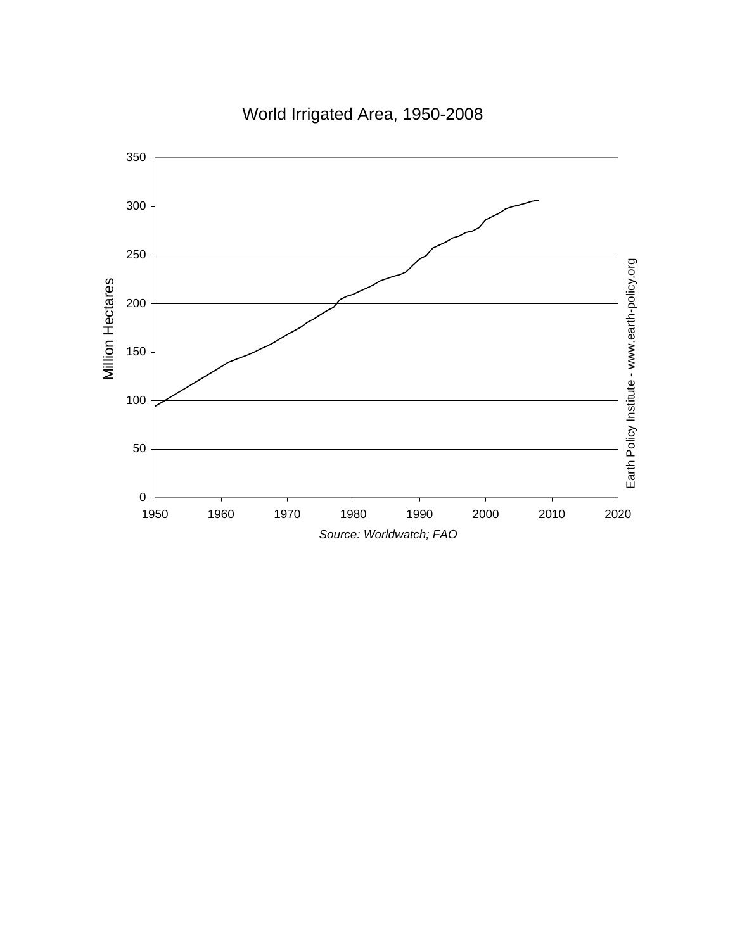

# World Irrigated Area, 1950-2008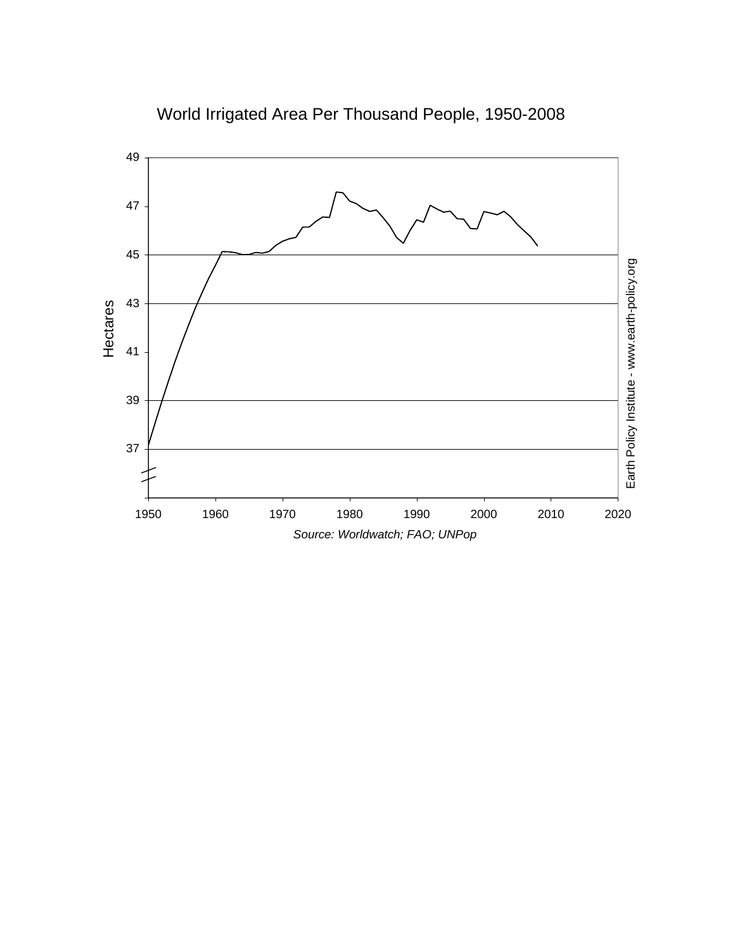

World Irrigated Area Per Thousand People, 1950-2008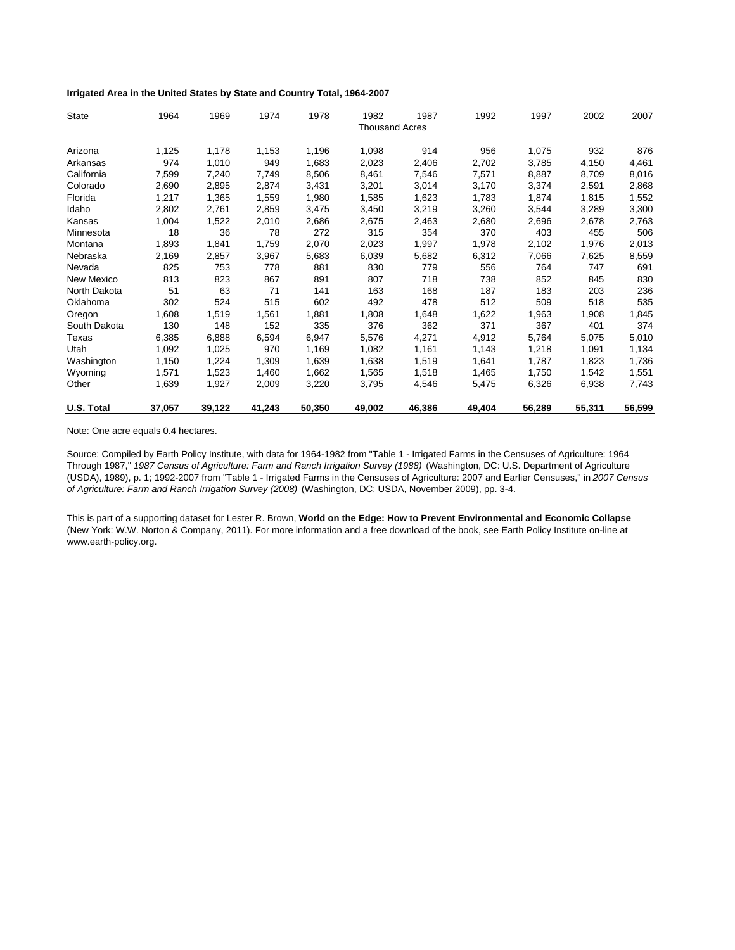### **Irrigated Area in the United States by State and Country Total, 1964-2007**

| State        | 1964   | 1969   | 1974   | 1978   | 1982                  | 1987   | 1992   | 1997   | 2002   | 2007   |
|--------------|--------|--------|--------|--------|-----------------------|--------|--------|--------|--------|--------|
|              |        |        |        |        | <b>Thousand Acres</b> |        |        |        |        |        |
| Arizona      | 1,125  | 1,178  | 1,153  | 1,196  | 1,098                 | 914    | 956    | 1,075  | 932    | 876    |
| Arkansas     | 974    | 1,010  | 949    | 1,683  | 2,023                 | 2,406  | 2,702  | 3,785  | 4,150  | 4,461  |
| California   | 7,599  | 7,240  | 7,749  | 8,506  | 8,461                 | 7,546  | 7,571  | 8,887  | 8,709  | 8,016  |
| Colorado     | 2,690  | 2,895  | 2,874  | 3,431  | 3,201                 | 3,014  | 3,170  | 3,374  | 2,591  | 2,868  |
| Florida      | 1,217  | 1,365  | 1,559  | 1,980  | 1,585                 | 1,623  | 1,783  | 1,874  | 1,815  | 1,552  |
| Idaho        | 2,802  | 2,761  | 2,859  | 3,475  | 3,450                 | 3,219  | 3,260  | 3,544  | 3,289  | 3,300  |
| Kansas       | 1,004  | 1,522  | 2,010  | 2,686  | 2,675                 | 2,463  | 2,680  | 2,696  | 2,678  | 2,763  |
| Minnesota    | 18     | 36     | 78     | 272    | 315                   | 354    | 370    | 403    | 455    | 506    |
| Montana      | 1,893  | 1,841  | 1,759  | 2,070  | 2,023                 | 1,997  | 1,978  | 2,102  | 1,976  | 2,013  |
| Nebraska     | 2,169  | 2,857  | 3,967  | 5,683  | 6,039                 | 5,682  | 6,312  | 7,066  | 7,625  | 8,559  |
| Nevada       | 825    | 753    | 778    | 881    | 830                   | 779    | 556    | 764    | 747    | 691    |
| New Mexico   | 813    | 823    | 867    | 891    | 807                   | 718    | 738    | 852    | 845    | 830    |
| North Dakota | 51     | 63     | 71     | 141    | 163                   | 168    | 187    | 183    | 203    | 236    |
| Oklahoma     | 302    | 524    | 515    | 602    | 492                   | 478    | 512    | 509    | 518    | 535    |
| Oregon       | 1,608  | 1,519  | 1,561  | 1,881  | 1,808                 | 1,648  | 1,622  | 1,963  | 1,908  | 1,845  |
| South Dakota | 130    | 148    | 152    | 335    | 376                   | 362    | 371    | 367    | 401    | 374    |
| Texas        | 6,385  | 6,888  | 6,594  | 6,947  | 5,576                 | 4,271  | 4,912  | 5,764  | 5,075  | 5,010  |
| Utah         | 1,092  | 1,025  | 970    | 1,169  | 1,082                 | 1,161  | 1,143  | 1,218  | 1,091  | 1,134  |
| Washington   | 1,150  | 1,224  | 1,309  | 1,639  | 1,638                 | 1,519  | 1,641  | 1,787  | 1,823  | 1,736  |
| Wyoming      | 1,571  | 1,523  | 1,460  | 1,662  | 1,565                 | 1,518  | 1,465  | 1,750  | 1,542  | 1,551  |
| Other        | 1,639  | 1,927  | 2,009  | 3,220  | 3,795                 | 4,546  | 5,475  | 6,326  | 6,938  | 7,743  |
| U.S. Total   | 37,057 | 39,122 | 41,243 | 50,350 | 49,002                | 46,386 | 49,404 | 56,289 | 55,311 | 56,599 |

Note: One acre equals 0.4 hectares.

Source: Compiled by Earth Policy Institute, with data for 1964-1982 from "Table 1 - Irrigated Farms in the Censuses of Agriculture: 1964 Through 1987," *1987 Census of Agriculture: Farm and Ranch Irrigation Survey (1988)* (Washington, DC: U.S. Department of Agriculture (USDA), 1989), p. 1; 1992-2007 from "Table 1 - Irrigated Farms in the Censuses of Agriculture: 2007 and Earlier Censuses," in *2007 Census of Agriculture: Farm and Ranch Irrigation Survey (2008)* (Washington, DC: USDA, November 2009), pp. 3-4.